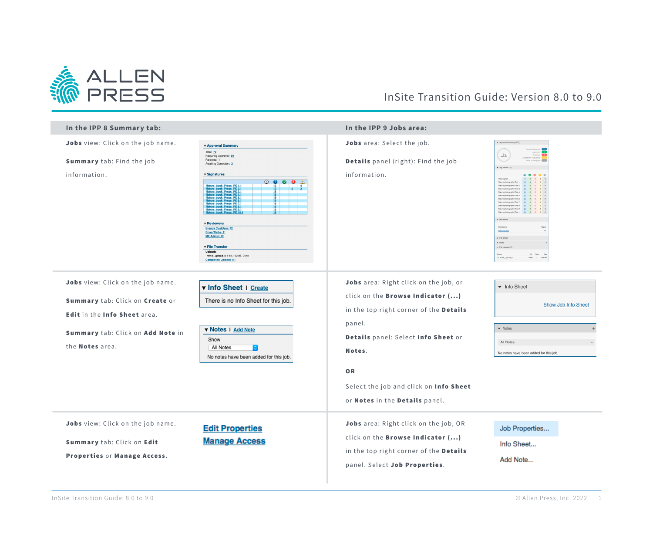

## InSite Transition Guide: Version 8.0 to 9.0

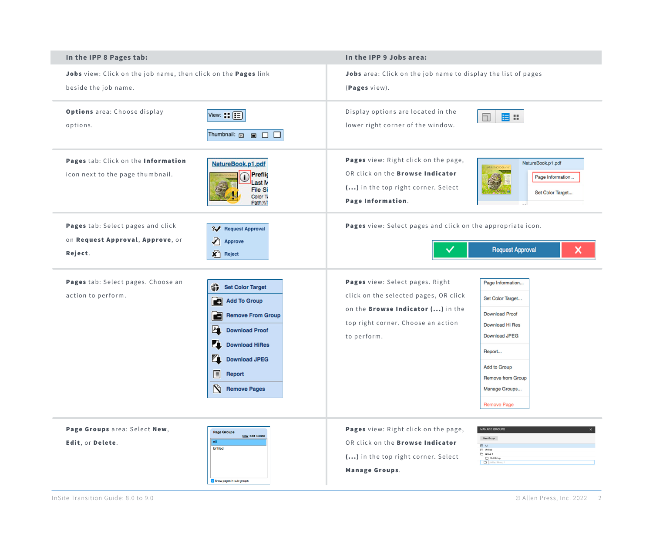| In the IPP 8 Pages tab:                                                                |                                                                                                                                                                                                                                   | In the IPP 9 Jobs area:                                                                                                                                                   |                                                                                                                                                                                                              |
|----------------------------------------------------------------------------------------|-----------------------------------------------------------------------------------------------------------------------------------------------------------------------------------------------------------------------------------|---------------------------------------------------------------------------------------------------------------------------------------------------------------------------|--------------------------------------------------------------------------------------------------------------------------------------------------------------------------------------------------------------|
| Jobs view: Click on the job name, then click on the Pages link<br>beside the job name. |                                                                                                                                                                                                                                   | Jobs area: Click on the job name to display the list of pages<br>(Pages view).                                                                                            |                                                                                                                                                                                                              |
| Options area: Choose display<br>options.                                               | View: $\boxed{\equiv}$<br>Thumbnail: <b>E E C</b>                                                                                                                                                                                 | Display options are located in the<br>lower right corner of the window.                                                                                                   | 国田<br>ΠI                                                                                                                                                                                                     |
| Pages tab: Click on the Information<br>icon next to the page thumbnail.                | NatureBook.p1.pdf<br>Preflig<br>ast M<br><b>File Si</b><br>Color T<br>Path:\\'                                                                                                                                                    | Pages view: Right click on the page,<br>OR click on the <b>Browse Indicator</b><br>() in the top right corner. Select<br>Page Information.                                | NatureBook.p1.pdf<br>Page Information<br>Set Color Target                                                                                                                                                    |
| Pages tab: Select pages and click<br>on Request Approval, Approve, or<br>Reject.       | ? Request Approval<br>♪<br>Approve<br><b>X</b> Reject                                                                                                                                                                             | Pages view: Select pages and click on the appropriate icon.<br><b>Request Approval</b><br>×                                                                               |                                                                                                                                                                                                              |
| Pages tab: Select pages. Choose an<br>action to perform.                               | 分<br><b>Set Color Target</b><br>ĒŦ<br><b>Add To Group</b><br>ra<br><b>Remove From Group</b><br>4<br><b>Download Proof</b><br>Ľ,<br><b>Download HiRes</b><br>q.<br><b>Download JPEG</b><br>圓<br>Report<br>N<br><b>Remove Pages</b> | Pages view: Select pages. Right<br>click on the selected pages, OR click<br>on the <b>Browse Indicator ()</b> in the<br>top right corner. Choose an action<br>to perform. | Page Information<br>Set Color Target<br><b>Download Proof</b><br><b>Download Hi Res</b><br><b>Download JPEG</b><br>Report<br>Add to Group<br><b>Remove from Group</b><br>Manage Groups<br><b>Remove Page</b> |
| Page Groups area: Select New,<br>Edit, or Delete.                                      | <b>Page Groups</b><br><b>New Edit Delete</b><br>All<br>Unfiled<br>Show pages in sub-groups                                                                                                                                        | Pages view: Right click on the page,<br>OR click on the <b>Browse Indicator</b><br>() in the top right corner. Select<br><b>Manage Groups.</b>                            | <b>MANAGE GROUPS</b><br>New Group<br>A<br>Unfiled<br>Group 1<br>SubGroup<br>Untitled Group 1                                                                                                                 |